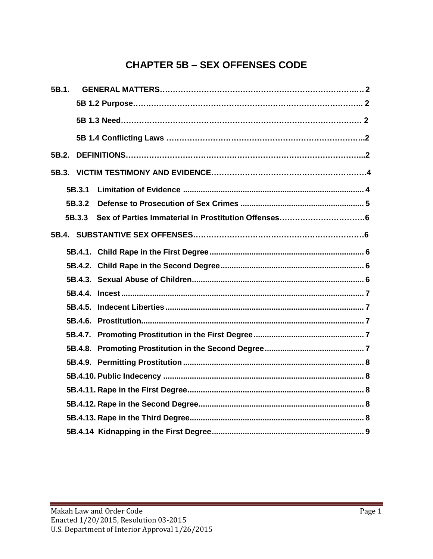# **CHAPTER 5B – SEX OFFENSES CODE**

| 5B.1. |        |  |
|-------|--------|--|
|       |        |  |
|       |        |  |
|       |        |  |
| 5B.2. |        |  |
|       |        |  |
|       | 5B.3.1 |  |
|       | 5B.3.2 |  |
|       | 5B.3.3 |  |
|       |        |  |
|       |        |  |
|       |        |  |
|       |        |  |
|       |        |  |
|       |        |  |
|       |        |  |
|       |        |  |
|       |        |  |
|       |        |  |
|       |        |  |
|       |        |  |
|       |        |  |
|       |        |  |
|       |        |  |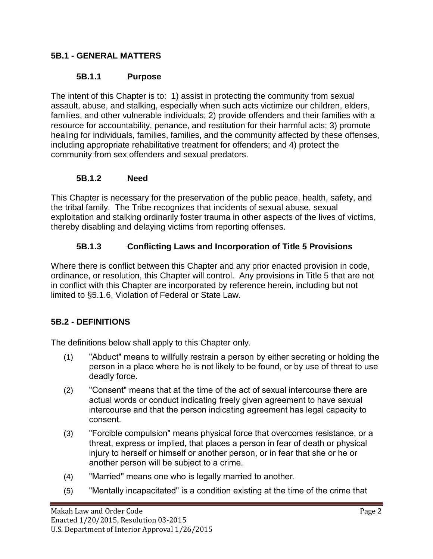#### **5B.1 - GENERAL MATTERS**

#### **5B.1.1 Purpose**

The intent of this Chapter is to: 1) assist in protecting the community from sexual assault, abuse, and stalking, especially when such acts victimize our children, elders, families, and other vulnerable individuals; 2) provide offenders and their families with a resource for accountability, penance, and restitution for their harmful acts; 3) promote healing for individuals, families, families, and the community affected by these offenses, including appropriate rehabilitative treatment for offenders; and 4) protect the community from sex offenders and sexual predators.

#### **5B.1.2 Need**

This Chapter is necessary for the preservation of the public peace, health, safety, and the tribal family. The Tribe recognizes that incidents of sexual abuse, sexual exploitation and stalking ordinarily foster trauma in other aspects of the lives of victims, thereby disabling and delaying victims from reporting offenses.

#### **5B.1.3 Conflicting Laws and Incorporation of Title 5 Provisions**

Where there is conflict between this Chapter and any prior enacted provision in code, ordinance, or resolution, this Chapter will control. Any provisions in Title 5 that are not in conflict with this Chapter are incorporated by reference herein, including but not limited to §5.1.6, Violation of Federal or State Law.

### **5B.2 - DEFINITIONS**

The definitions below shall apply to this Chapter only.

- (1) "Abduct" means to willfully restrain a person by either secreting or holding the person in a place where he is not likely to be found, or by use of threat to use deadly force.
- (2) "Consent" means that at the time of the act of sexual intercourse there are actual words or conduct indicating freely given agreement to have sexual intercourse and that the person indicating agreement has legal capacity to consent.
- (3) "Forcible compulsion" means physical force that overcomes resistance, or a threat, express or implied, that places a person in fear of death or physical injury to herself or himself or another person, or in fear that she or he or another person will be subject to a crime.
- (4) "Married" means one who is legally married to another.
- (5) "Mentally incapacitated" is a condition existing at the time of the crime that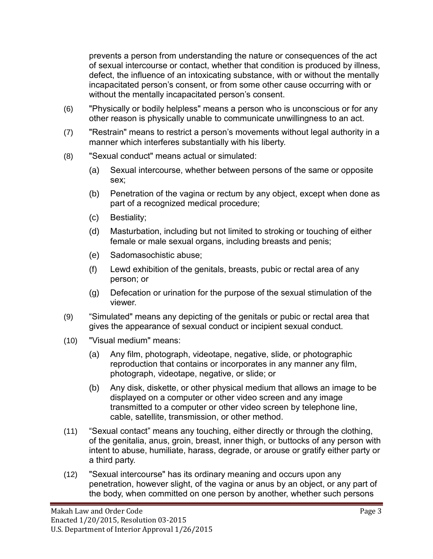prevents a person from understanding the nature or consequences of the act of sexual intercourse or contact, whether that condition is produced by illness, defect, the influence of an intoxicating substance, with or without the mentally incapacitated person's consent, or from some other cause occurring with or without the mentally incapacitated person's consent.

- (6) "Physically or bodily helpless" means a person who is unconscious or for any other reason is physically unable to communicate unwillingness to an act.
- (7) "Restrain" means to restrict a person's movements without legal authority in a manner which interferes substantially with his liberty.
- (8) "Sexual conduct" means actual or simulated:
	- (a) Sexual intercourse, whether between persons of the same or opposite sex;
	- (b) Penetration of the vagina or rectum by any object, except when done as part of a recognized medical procedure;
	- (c) Bestiality;
	- (d) Masturbation, including but not limited to stroking or touching of either female or male sexual organs, including breasts and penis;
	- (e) Sadomasochistic abuse;
	- (f) Lewd exhibition of the genitals, breasts, pubic or rectal area of any person; or
	- (g) Defecation or urination for the purpose of the sexual stimulation of the viewer.
- (9) "Simulated" means any depicting of the genitals or pubic or rectal area that gives the appearance of sexual conduct or incipient sexual conduct.
- (10) "Visual medium" means:
	- (a) Any film, photograph, videotape, negative, slide, or photographic reproduction that contains or incorporates in any manner any film, photograph, videotape, negative, or slide; or
	- (b) Any disk, diskette, or other physical medium that allows an image to be displayed on a computer or other video screen and any image transmitted to a computer or other video screen by telephone line, cable, satellite, transmission, or other method.
- (11) "Sexual contact" means any touching, either directly or through the clothing, of the genitalia, anus, groin, breast, inner thigh, or buttocks of any person with intent to abuse, humiliate, harass, degrade, or arouse or gratify either party or a third party.
- (12) "Sexual intercourse" has its ordinary meaning and occurs upon any penetration, however slight, of the vagina or anus by an object, or any part of the body, when committed on one person by another, whether such persons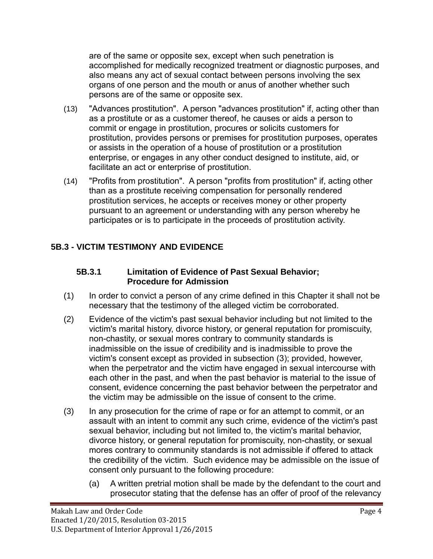are of the same or opposite sex, except when such penetration is accomplished for medically recognized treatment or diagnostic purposes, and also means any act of sexual contact between persons involving the sex organs of one person and the mouth or anus of another whether such persons are of the same or opposite sex.

- (13) "Advances prostitution". A person "advances prostitution" if, acting other than as a prostitute or as a customer thereof, he causes or aids a person to commit or engage in prostitution, procures or solicits customers for prostitution, provides persons or premises for prostitution purposes, operates or assists in the operation of a house of prostitution or a prostitution enterprise, or engages in any other conduct designed to institute, aid, or facilitate an act or enterprise of prostitution.
- (14) "Profits from prostitution". A person "profits from prostitution" if, acting other than as a prostitute receiving compensation for personally rendered prostitution services, he accepts or receives money or other property pursuant to an agreement or understanding with any person whereby he participates or is to participate in the proceeds of prostitution activity.

# <span id="page-3-0"></span>**5B.3 - VICTIM TESTIMONY AND EVIDENCE**

#### **5B.3.1 Limitation of Evidence of Past Sexual Behavior; Procedure for Admission**

- (1) In order to convict a person of any crime defined in this Chapter it shall not be necessary that the testimony of the alleged victim be corroborated.
- (2) Evidence of the victim's past sexual behavior including but not limited to the victim's marital history, divorce history, or general reputation for promiscuity, non-chastity, or sexual mores contrary to community standards is inadmissible on the issue of credibility and is inadmissible to prove the victim's consent except as provided in subsection (3); provided, however, when the perpetrator and the victim have engaged in sexual intercourse with each other in the past, and when the past behavior is material to the issue of consent, evidence concerning the past behavior between the perpetrator and the victim may be admissible on the issue of consent to the crime.
- (3) In any prosecution for the crime of rape or for an attempt to commit, or an assault with an intent to commit any such crime, evidence of the victim's past sexual behavior, including but not limited to, the victim's marital behavior, divorce history, or general reputation for promiscuity, non-chastity, or sexual mores contrary to community standards is not admissible if offered to attack the credibility of the victim. Such evidence may be admissible on the issue of consent only pursuant to the following procedure:
	- (a) A written pretrial motion shall be made by the defendant to the court and prosecutor stating that the defense has an offer of proof of the relevancy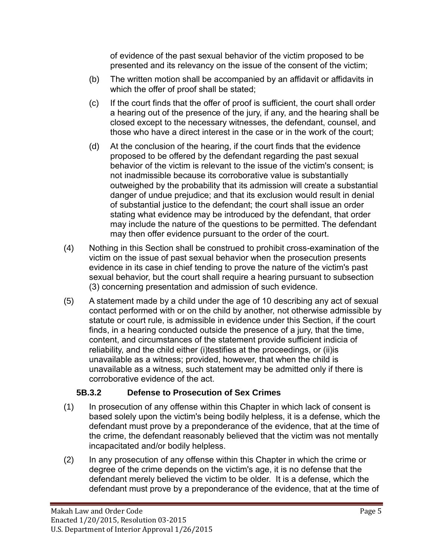of evidence of the past sexual behavior of the victim proposed to be presented and its relevancy on the issue of the consent of the victim;

- (b) The written motion shall be accompanied by an affidavit or affidavits in which the offer of proof shall be stated;
- (c) If the court finds that the offer of proof is sufficient, the court shall order a hearing out of the presence of the jury, if any, and the hearing shall be closed except to the necessary witnesses, the defendant, counsel, and those who have a direct interest in the case or in the work of the court;
- (d) At the conclusion of the hearing, if the court finds that the evidence proposed to be offered by the defendant regarding the past sexual behavior of the victim is relevant to the issue of the victim's consent; is not inadmissible because its corroborative value is substantially outweighed by the probability that its admission will create a substantial danger of undue prejudice; and that its exclusion would result in denial of substantial justice to the defendant; the court shall issue an order stating what evidence may be introduced by the defendant, that order may include the nature of the questions to be permitted. The defendant may then offer evidence pursuant to the order of the court.
- (4) Nothing in this Section shall be construed to prohibit cross-examination of the victim on the issue of past sexual behavior when the prosecution presents evidence in its case in chief tending to prove the nature of the victim's past sexual behavior, but the court shall require a hearing pursuant to subsection (3) concerning presentation and admission of such evidence.
- (5) A statement made by a child under the age of 10 describing any act of sexual contact performed with or on the child by another, not otherwise admissible by statute or court rule, is admissible in evidence under this Section, if the court finds, in a hearing conducted outside the presence of a jury, that the time, content, and circumstances of the statement provide sufficient indicia of reliability, and the child either (i)testifies at the proceedings, or (ii)is unavailable as a witness; provided, however, that when the child is unavailable as a witness, such statement may be admitted only if there is corroborative evidence of the act.

### **5B.3.2 Defense to Prosecution of Sex Crimes**

- <span id="page-4-0"></span>(1) In prosecution of any offense within this Chapter in which lack of consent is based solely upon the victim's being bodily helpless, it is a defense, which the defendant must prove by a preponderance of the evidence, that at the time of the crime, the defendant reasonably believed that the victim was not mentally incapacitated and/or bodily helpless.
- (2) In any prosecution of any offense within this Chapter in which the crime or degree of the crime depends on the victim's age, it is no defense that the defendant merely believed the victim to be older. It is a defense, which the defendant must prove by a preponderance of the evidence, that at the time of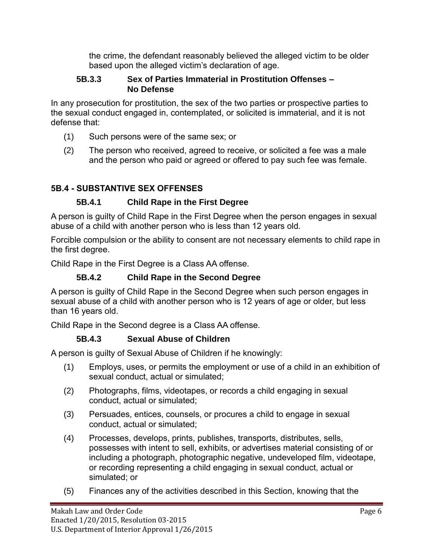the crime, the defendant reasonably believed the alleged victim to be older based upon the alleged victim's declaration of age.

#### **5B.3.3 Sex of Parties Immaterial in Prostitution Offenses – No Defense**

In any prosecution for prostitution, the sex of the two parties or prospective parties to the sexual conduct engaged in, contemplated, or solicited is immaterial, and it is not defense that:

- (1) Such persons were of the same sex; or
- (2) The person who received, agreed to receive, or solicited a fee was a male and the person who paid or agreed or offered to pay such fee was female.

# **5B.4 - SUBSTANTIVE SEX OFFENSES**

### **5B.4.1 Child Rape in the First Degree**

<span id="page-5-0"></span>A person is guilty of Child Rape in the First Degree when the person engages in sexual abuse of a child with another person who is less than 12 years old.

Forcible compulsion or the ability to consent are not necessary elements to child rape in the first degree.

Child Rape in the First Degree is a Class AA offense.

### **5B.4.2 Child Rape in the Second Degree**

<span id="page-5-1"></span>A person is guilty of Child Rape in the Second Degree when such person engages in sexual abuse of a child with another person who is 12 years of age or older, but less than 16 years old.

Child Rape in the Second degree is a Class AA offense.

# **5B.4.3 Sexual Abuse of Children**

<span id="page-5-2"></span>A person is guilty of Sexual Abuse of Children if he knowingly:

- (1) Employs, uses, or permits the employment or use of a child in an exhibition of sexual conduct, actual or simulated;
- (2) Photographs, films, videotapes, or records a child engaging in sexual conduct, actual or simulated;
- (3) Persuades, entices, counsels, or procures a child to engage in sexual conduct, actual or simulated;
- (4) Processes, develops, prints, publishes, transports, distributes, sells, possesses with intent to sell, exhibits, or advertises material consisting of or including a photograph, photographic negative, undeveloped film, videotape, or recording representing a child engaging in sexual conduct, actual or simulated; or
- (5) Finances any of the activities described in this Section, knowing that the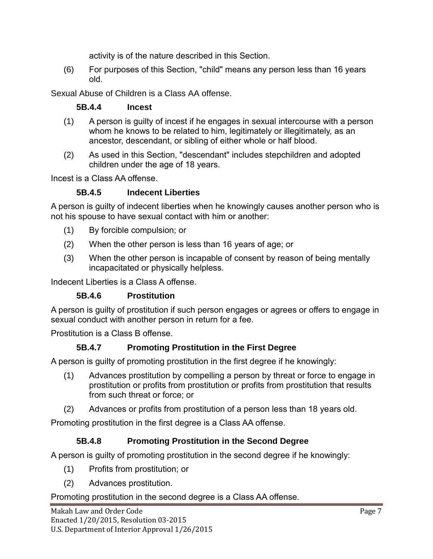activity is of the nature described in this Section.

(6) For purposes of this Section, "child" means any person less than 16 years old.

<span id="page-6-0"></span>Sexual Abuse of Children is a Class AA offense.

### **5B.4.4 Incest**

- (1) A person is guilty of incest if he engages in sexual intercourse with a person whom he knows to be related to him, legitimately or illegitimately, as an ancestor, descendant, or sibling of either whole or half blood.
- (2) As used in this Section, "descendant" includes stepchildren and adopted children under the age of 18 years.

Incest is a Class AA offense.

### **5B.4.5 Indecent Liberties**

<span id="page-6-1"></span>A person is guilty of indecent liberties when he knowingly causes another person who is not his spouse to have sexual contact with him or another:

- (1) By forcible compulsion; or
- (2) When the other person is less than 16 years of age; or
- (3) When the other person is incapable of consent by reason of being mentally incapacitated or physically helpless.

Indecent Liberties is a Class A offense.

### **5B.4.6 Prostitution**

<span id="page-6-2"></span>A person is guilty of prostitution if such person engages or agrees or offers to engage in sexual conduct with another person in return for a fee.

Prostitution is a Class B offense.

### **5B.4.7 Promoting Prostitution in the First Degree**

<span id="page-6-3"></span>A person is guilty of promoting prostitution in the first degree if he knowingly:

- (1) Advances prostitution by compelling a person by threat or force to engage in prostitution or profits from prostitution or profits from prostitution that results from such threat or force; or
- (2) Advances or profits from prostitution of a person less than 18 years old.

Promoting prostitution in the first degree is a Class AA offense.

# **5B.4.8 Promoting Prostitution in the Second Degree**

<span id="page-6-4"></span>A person is guilty of promoting prostitution in the second degree if he knowingly:

- (1) Profits from prostitution; or
- (2) Advances prostitution.

### Promoting prostitution in the second degree is a Class AA offense.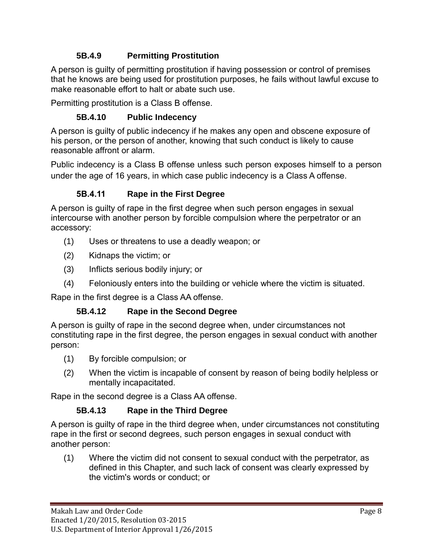# **5B.4.9 Permitting Prostitution**

<span id="page-7-0"></span>A person is guilty of permitting prostitution if having possession or control of premises that he knows are being used for prostitution purposes, he fails without lawful excuse to make reasonable effort to halt or abate such use.

Permitting prostitution is a Class B offense.

### **5B.4.10 Public Indecency**

<span id="page-7-1"></span>A person is guilty of public indecency if he makes any open and obscene exposure of his person, or the person of another, knowing that such conduct is likely to cause reasonable affront or alarm.

Public indecency is a Class B offense unless such person exposes himself to a person under the age of 16 years, in which case public indecency is a Class A offense.

### **5B.4.11 Rape in the First Degree**

<span id="page-7-2"></span>A person is guilty of rape in the first degree when such person engages in sexual intercourse with another person by forcible compulsion where the perpetrator or an accessory:

- (1) Uses or threatens to use a deadly weapon; or
- (2) Kidnaps the victim; or
- (3) Inflicts serious bodily injury; or
- (4) Feloniously enters into the building or vehicle where the victim is situated.

Rape in the first degree is a Class AA offense.

### **5B.4.12 Rape in the Second Degree**

<span id="page-7-3"></span>A person is guilty of rape in the second degree when, under circumstances not constituting rape in the first degree, the person engages in sexual conduct with another person:

- (1) By forcible compulsion; or
- (2) When the victim is incapable of consent by reason of being bodily helpless or mentally incapacitated.

Rape in the second degree is a Class AA offense.

### **5B.4.13 Rape in the Third Degree**

<span id="page-7-4"></span>A person is guilty of rape in the third degree when, under circumstances not constituting rape in the first or second degrees, such person engages in sexual conduct with another person:

(1) Where the victim did not consent to sexual conduct with the perpetrator, as defined in this Chapter, and such lack of consent was clearly expressed by the victim's words or conduct; or